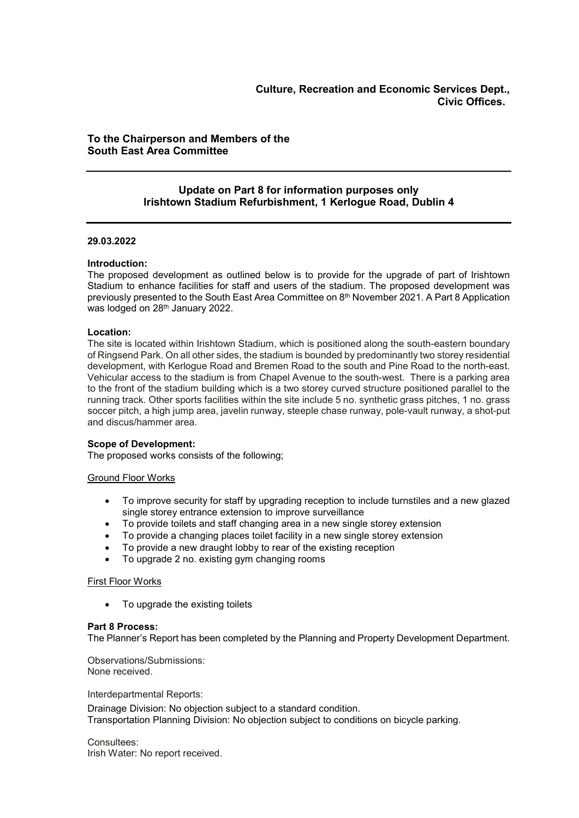# To the Chairperson and Members of the South East Area Committee

# Update on Part 8 for information purposes only Irishtown Stadium Refurbishment, 1 Kerlogue Road, Dublin 4

## 29.03.2022

## Introduction:

The proposed development as outlined below is to provide for the upgrade of part of Irishtown Stadium to enhance facilities for staff and users of the stadium. The proposed development was previously presented to the South East Area Committee on 8th November 2021. A Part 8 Application was lodged on 28<sup>th</sup> January 2022.

## Location:

The site is located within Irishtown Stadium, which is positioned along the south-eastern boundary of Ringsend Park. On all other sides, the stadium is bounded by predominantly two storey residential development, with Kerlogue Road and Bremen Road to the south and Pine Road to the north-east. Vehicular access to the stadium is from Chapel Avenue to the south-west. There is a parking area to the front of the stadium building which is a two storey curved structure positioned parallel to the running track. Other sports facilities within the site include 5 no. synthetic grass pitches, 1 no. grass soccer pitch, a high jump area, javelin runway, steeple chase runway, pole-vault runway, a shot-put and discus/hammer area.

## Scope of Development:

The proposed works consists of the following;

## Ground Floor Works

- To improve security for staff by upgrading reception to include turnstiles and a new glazed single storey entrance extension to improve surveillance
- To provide toilets and staff changing area in a new single storey extension
- To provide a changing places toilet facility in a new single storey extension
- To provide a new draught lobby to rear of the existing reception
- To upgrade 2 no. existing gym changing rooms

## First Floor Works

• To upgrade the existing toilets

## Part 8 Process:

The Planner's Report has been completed by the Planning and Property Development Department.

Observations/Submissions: None received.

Interdepartmental Reports:

Drainage Division: No objection subject to a standard condition. Transportation Planning Division: No objection subject to conditions on bicycle parking.

Consultees: Irish Water: No report received.